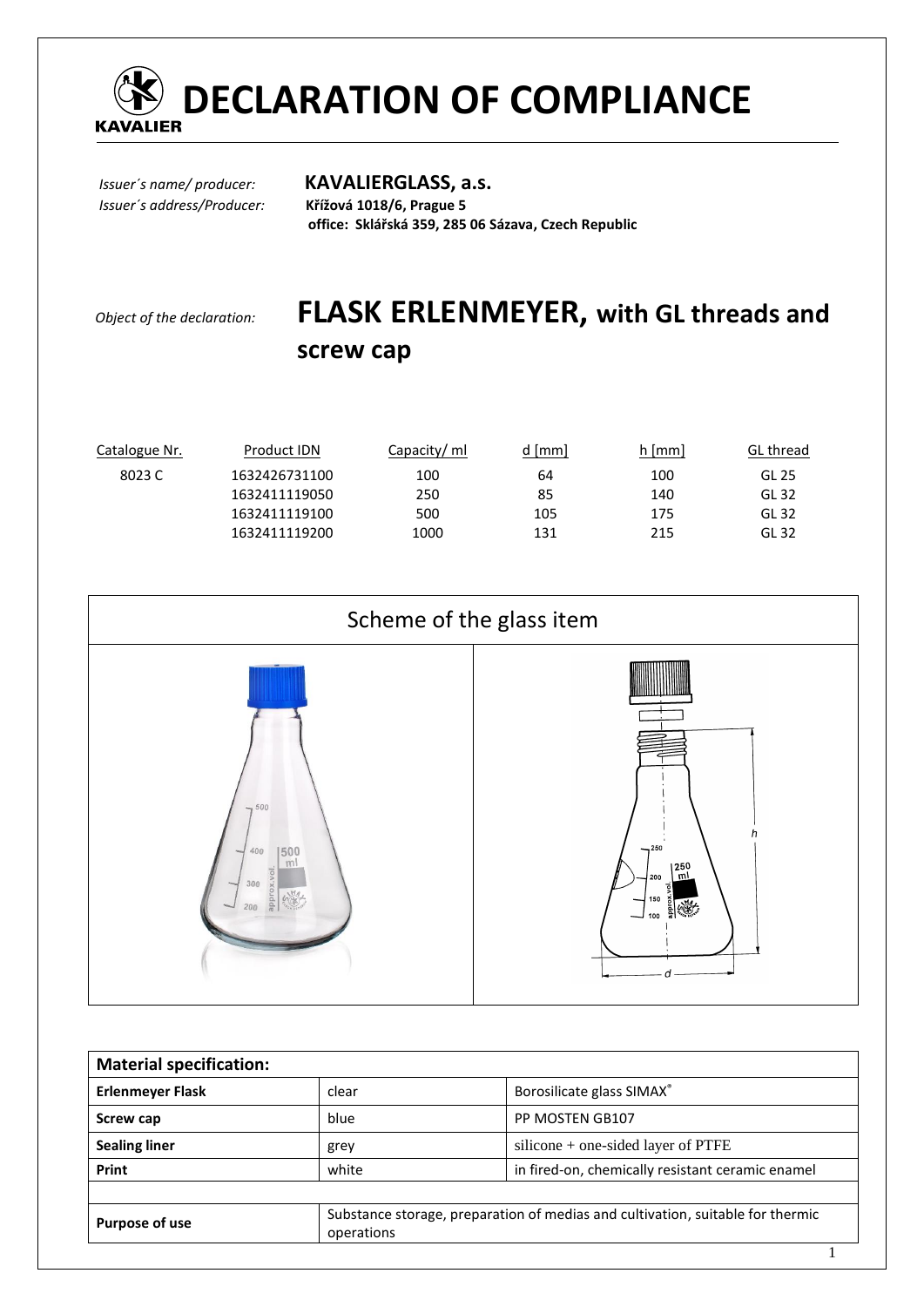

# **COMPLIANCE**

*Issuer´s address/Producer:* **Křížová 1018/6, Prague 5** 

## *Issuer´s name/ producer:* **KAVALIERGLASS, a.s.**

 **office: Sklářská 359, 285 06 Sázava, Czech Republic** 

# *Object of the declaration:* **FLASK ERLENMEYER, with GL threads and**

**screw cap** 

| Catalogue Nr. | Product IDN   | Capacity/ ml | $d$ [mm] | $h$ [mm] | GL thread |
|---------------|---------------|--------------|----------|----------|-----------|
| 8023 C        | 1632426731100 | 100          | 64       | 100      | GL 25     |
|               | 1632411119050 | 250          | 85       | 140      | GL 32     |
|               | 1632411119100 | 500          | 105      | 175      | GL 32     |
|               | 1632411119200 | 1000         | 131      | 215      | GL 32     |
|               |               |              |          |          |           |



| <b>Material specification:</b> |                                                                                              |                                                  |  |  |
|--------------------------------|----------------------------------------------------------------------------------------------|--------------------------------------------------|--|--|
| <b>Erlenmeyer Flask</b>        | clear                                                                                        | Borosilicate glass SIMAX®                        |  |  |
| Screw cap                      | blue                                                                                         | PP MOSTEN GB107                                  |  |  |
| <b>Sealing liner</b>           | grey                                                                                         | $silicone + one-sided layer of PTFE$             |  |  |
| Print                          | white                                                                                        | in fired-on, chemically resistant ceramic enamel |  |  |
| <b>Purpose of use</b>          | Substance storage, preparation of medias and cultivation, suitable for thermic<br>operations |                                                  |  |  |
|                                |                                                                                              |                                                  |  |  |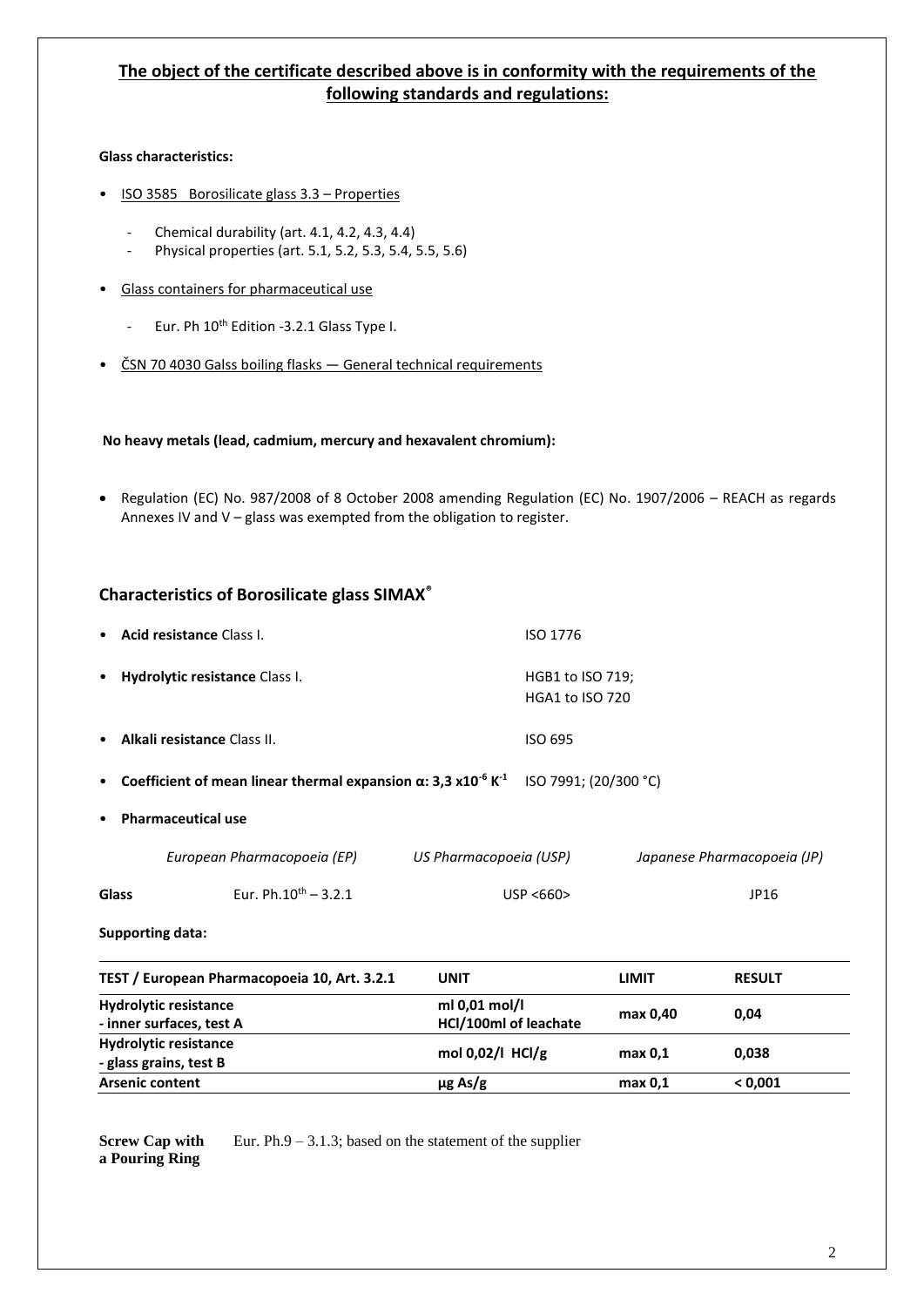### **The object of the certificate described above is in conformity with the requirements of the following standards and regulations:**

#### **Glass characteristics:**

- ISO 3585 Borosilicate glass 3.3 Properties
	- Chemical durability (art. 4.1, 4.2, 4.3, 4.4)
	- Physical properties (art. 5.1, 5.2, 5.3, 5.4, 5.5, 5.6)
- Glass containers for pharmaceutical use
	- Eur. Ph 10<sup>th</sup> Edition -3.2.1 Glass Type I.
- ČSN 70 4030 Galss boiling flasks General technical requirements

**No heavy metals (lead, cadmium, mercury and hexavalent chromium):** 

• Regulation (EC) No. 987/2008 of 8 October 2008 amending Regulation (EC) No. 1907/2006 – REACH as regards Annexes IV and V – glass was exempted from the obligation to register.

### **Characteristics of Borosilicate glass SIMAX®**

|                                  | • Acid resistance Class L                                                                       |                        | ISO 1776                                   |  |  |
|----------------------------------|-------------------------------------------------------------------------------------------------|------------------------|--------------------------------------------|--|--|
| • Hydrolytic resistance Class I. |                                                                                                 |                        | HGB1 to ISO 719;<br><b>HGA1 to ISO 720</b> |  |  |
|                                  | • Alkali resistance Class II.                                                                   | ISO 695                |                                            |  |  |
|                                  | • Coefficient of mean linear thermal expansion $\alpha$ : 3,3 x10 <sup>-6</sup> K <sup>-1</sup> |                        | ISO 7991; (20/300 °C)                      |  |  |
|                                  | • Pharmaceutical use                                                                            |                        |                                            |  |  |
|                                  | European Pharmacopoeia (EP)                                                                     | US Pharmacopoeia (USP) | Japanese Pharmacopoeia (JP)                |  |  |
|                                  | Eur. Ph. $10^{th}$ – 3.2.1<br><b>Glass</b>                                                      | USP < 660              | JP16                                       |  |  |

**Supporting data:**

| TEST / European Pharmacopoeia 10, Art. 3.2.1             | <b>UNIT</b>                            | <b>LIMIT</b> | <b>RESULT</b> |
|----------------------------------------------------------|----------------------------------------|--------------|---------------|
| <b>Hydrolytic resistance</b><br>- inner surfaces, test A | ml 0,01 mol/l<br>HCl/100ml of leachate | max 0,40     | 0,04          |
| <b>Hydrolytic resistance</b><br>- glass grains, test B   | mol $0.02$ /l HCl/g                    | max 0,1      | 0.038         |
| <b>Arsenic content</b>                                   | $\mu$ g As/g                           | max 0,1      | < 0.001       |

**Screw Cap with** Eur. Ph.9  $-3.1.3$ ; based on the statement of the supplier **a Pouring Ring**